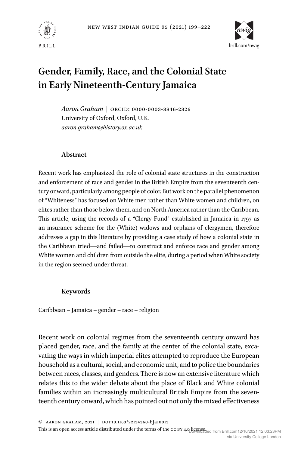



# **Gender, Family, Race, and the Colonial State in Early Nineteenth-Century Jamaica**

*Aaron Graham* | ORCID: 0000-0003-3846-2326 University of Oxford, Oxford, U.K. *[aaron.graham@history.ox.ac.uk](mailto:aaron.graham@history.ox.ac.uk)*

## **Abstract**

Recent work has emphasized the role of colonial state structures in the construction and enforcement of race and gender in the British Empire from the seventeenth century onward, particularly among people of color. But work on the parallel phenomenon of "Whiteness" has focused on White men rather than White women and children, on elites rather than those below them, and on North America rather than the Caribbean. This article, using the records of a "Clergy Fund" established in Jamaica in 1797 as an insurance scheme for the (White) widows and orphans of clergymen, therefore addresses a gap in this literature by providing a case study of how a colonial state in the Caribbean tried—and failed—to construct and enforce race and gender among White women and children from outside the elite, during a period when White society in the region seemed under threat.

## **Keywords**

Caribbean – Jamaica – gender – race – religion

Recent work on colonial regimes from the seventeenth century onward has placed gender, race, and the family at the center of the colonial state, excavating the ways in which imperial elites attempted to reproduce the European household as a cultural, social, and economic unit, and to police the boundaries between races, classes, and genders. There is now an extensive literature which relates this to the wider debate about the place of Black and White colonial families within an increasingly multicultural British Empire from the seventeenth century onward, which has pointed out not only the mixed effectiveness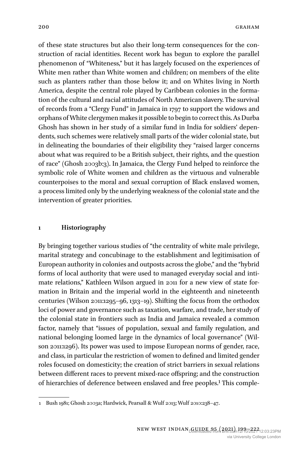of these state structures but also their long-term consequences for the construction of racial identities. Recent work has begun to explore the parallel phenomenon of "Whiteness," but it has largely focused on the experiences of White men rather than White women and children; on members of the elite such as planters rather than those below it; and on Whites living in North America, despite the central role played by Caribbean colonies in the formation of the cultural and racial attitudes of North American slavery. The survival of records from a "Clergy Fund" in Jamaica in 1797 to support the widows and orphans of White clergymen makes it possible to begin to correct this. As Durba Ghosh has shown in her study of a similar fund in India for soldiers' dependents, such schemes were relatively small parts of the wider colonial state, but in delineating the boundaries of their eligibility they "raised larger concerns about what was required to be a British subject, their rights, and the question of race" (Ghosh 2003b:3). In Jamaica, the Clergy Fund helped to reinforce the symbolic role of White women and children as the virtuous and vulnerable counterpoises to the moral and sexual corruption of Black enslaved women, a process limited only by the underlying weakness of the colonial state and the intervention of greater priorities.

#### **1 Historiography**

By bringing together various studies of "the centrality of white male privilege, marital strategy and concubinage to the establishment and legitimisation of European authority in colonies and outposts across the globe," and the "hybrid forms of local authority that were used to managed everyday social and intimate relations," Kathleen Wilson argued in 2011 for a new view of state formation in Britain and the imperial world in the eighteenth and nineteenth centuries (Wilson 2011:1295–96, 1313–19). Shifting the focus from the orthodox loci of power and governance such as taxation, warfare, and trade, her study of the colonial state in frontiers such as India and Jamaica revealed a common factor, namely that "issues of population, sexual and family regulation, and national belonging loomed large in the dynamics of local governance" (Wilson 2011:1296). Its power was used to impose European norms of gender, race, and class, in particular the restriction of women to defined and limited gender roles focused on domesticity; the creation of strict barriers in sexual relations between different races to prevent mixed-race offspring; and the construction of hierarchies of deference between enslaved and free peoples.1 This comple-

<sup>1</sup> Bush 1981; Ghosh 2003a; Hardwick, Pearsall & Wulf 2013; Wulf 2010:238–47.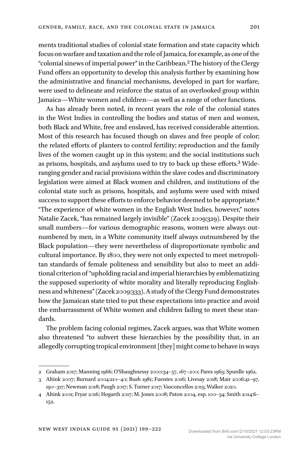ments traditional studies of colonial state formation and state capacity which focus on warfare and taxation and the role of Jamaica, for example, as one of the "colonial sinews of imperial power" in the Caribbean.2The history of the Clergy Fund offers an opportunity to develop this analysis further by examining how the administrative and financial mechanisms, developed in part for warfare, were used to delineate and reinforce the status of an overlooked group within Jamaica—White women and children—as well as a range of other functions.

As has already been noted, in recent years the role of the colonial states in the West Indies in controlling the bodies and status of men and women, both Black and White, free and enslaved, has received considerable attention. Most of this research has focused though on slaves and free people of color; the related efforts of planters to control fertility; reproduction and the family lives of the women caught up in this system; and the social institutions such as prisons, hospitals, and asylums used to try to back up these efforts.3 Wideranging gender and racial provisions within the slave codes and discriminatory legislation were aimed at Black women and children, and institutions of the colonial state such as prisons, hospitals, and asylums were used with mixed success to support these efforts to enforce behavior deemed to be appropriate.4 "The experience of white women in the English West Indies, however," notes Natalie Zacek, "has remained largely invisible" (Zacek 2009:329). Despite their small numbers—for various demographic reasons, women were always outnumbered by men, in a White community itself always outnumbered by the Black population—they were nevertheless of disproportionate symbolic and cultural importance. By 1800, they were not only expected to meet metropolitan standards of female politeness and sensibility but also to meet an additional criterion of "upholding racial and imperial hierarchies by emblematizing the supposed superiority of white morality and literally reproducing Englishness and whiteness" (Zacek 2009:333). A study of the Clergy Fund demonstrates how the Jamaican state tried to put these expectations into practice and avoid the embarrassment of White women and children failing to meet these standards.

The problem facing colonial regimes, Zacek argues, was that White women also threatened "to subvert these hierarchies by the possibility that, in an allegedly corrupting tropical environment [they] might come to behave in ways

<sup>2</sup> Graham 2017; Manning 1966; O'Shaughnessy 2000:34–57, 167–200; Pares 1963; Spurdle 1962.

<sup>3</sup> Altink 2007; Burnard 2004:210–40; Bush 1981; Fuentes 2016; Livesay 2018; Mair 2006:41–97, 190–317; Newman 2018; Paugh 2017; S. Turner 2017; Vasconcellos 2015; Walker 2020.

<sup>4</sup> Altink 2001; Fryar 2016; Hogarth 2017; M. Jones 2008; Paton 2004, esp. 100–34; Smith 2014:6– 152.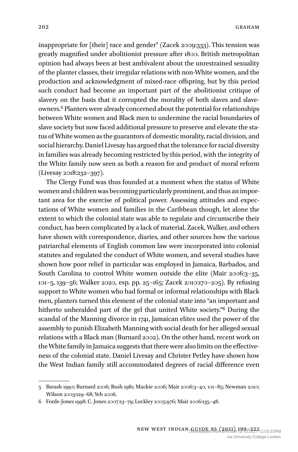inappropriate for [their] race and gender" (Zacek 2009:333). This tension was greatly magnified under abolitionist pressure after 1800. British metropolitan opinion had always been at best ambivalent about the unrestrained sexuality of the planter classes, their irregular relations with non-White women, and the production and acknowledgment of mixed-race offspring, but by this period such conduct had become an important part of the abolitionist critique of slavery on the basis that it corrupted the morality of both slaves and slaveowners.5 Planters were already concerned about the potential for relationships between White women and Black men to undermine the racial boundaries of slave society but now faced additional pressure to preserve and elevate the status of White women as the guarantors of domestic morality, racial division, and social hierarchy. Daniel Livesay has argued that the tolerance for racial diversity in families was already becoming restricted by this period, with the integrity of the White family now seen as both a reason for and product of moral reform (Livesay 2018:232–397).

The Clergy Fund was thus founded at a moment when the status of White women and children was becoming particularly prominent, and thus an important area for the exercise of political power. Assessing attitudes and expectations of White women and families in the Caribbean though, let alone the extent to which the colonial state was able to regulate and circumscribe their conduct, has been complicated by a lack of material. Zacek, Walker, and others have shown with correspondence, diaries, and other sources how the various patriarchal elements of English common law were incorporated into colonial statutes and regulated the conduct of White women, and several studies have shown how poor relief in particular was employed in Jamaica, Barbados, and South Carolina to control White women outside the elite (Mair 2006:3-35, 101–5, 139–56; Walker 2020, esp. pp. 25–165; Zacek 2010:170–205). By refusing support to White women who had formal or informal relationships with Black men, planters turned this element of the colonial state into "an important and hitherto unheralded part of the gel that united White society."6 During the scandal of the Manning divorce in 1741, Jamaican elites used the power of the assembly to punish Elizabeth Manning with social death for her alleged sexual relations with a Black man (Burnard 2002). On the other hand, recent work on theWhite family inJamaica suggests that there were also limits on the effectiveness of the colonial state. Daniel Livesay and Christer Petley have shown how the West Indian family still accommodated degrees of racial difference even

<sup>5</sup> Barash 1990; Burnard 2006; Bush 1981; Mackie 2006; Mair 2006:3–40, 101–85; Newman 2010; Wilson 2003:129–68; Yeh 2006.

<sup>6</sup> Forde-Jones 1998; C. Jones 2007:13–79; Lockley 2005:976; Mair 2006:135–48.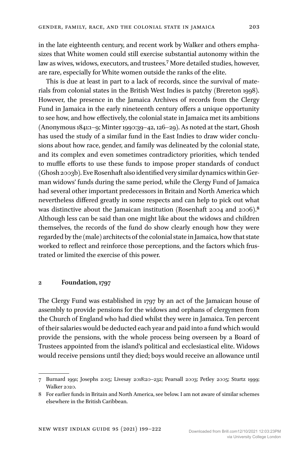in the late eighteenth century, and recent work by Walker and others emphasizes that White women could still exercise substantial autonomy within the law as wives, widows, executors, and trustees.7 More detailed studies, however, are rare, especially for White women outside the ranks of the elite.

This is due at least in part to a lack of records, since the survival of materials from colonial states in the British West Indies is patchy (Brereton 1998). However, the presence in the Jamaica Archives of records from the Clergy Fund in Jamaica in the early nineteenth century offers a unique opportunity to see how, and how effectively, the colonial state in Jamaica met its ambitions (Anonymous 1841:1–9; Minter 1990:39–42, 126–29). As noted at the start, Ghosh has used the study of a similar fund in the East Indies to draw wider conclusions about how race, gender, and family was delineated by the colonial state, and its complex and even sometimes contradictory priorities, which tended to muffle efforts to use these funds to impose proper standards of conduct (Ghosh 2003b). Eve Rosenhaft also identified very similar dynamics within German widows' funds during the same period, while the Clergy Fund of Jamaica had several other important predecessors in Britain and North America which nevertheless differed greatly in some respects and can help to pick out what was distinctive about the Jamaican institution (Rosenhaft 2004 and 2006).8 Although less can be said than one might like about the widows and children themselves, the records of the fund do show clearly enough how they were regarded by the (male) architects of the colonial state inJamaica, how that state worked to reflect and reinforce those perceptions, and the factors which frustrated or limited the exercise of this power.

### **2 Foundation, 1797**

The Clergy Fund was established in 1797 by an act of the Jamaican house of assembly to provide pensions for the widows and orphans of clergymen from the Church of England who had died whilst they were in Jamaica. Ten percent of their salaries would be deducted each year and paid into a fund which would provide the pensions, with the whole process being overseen by a Board of Trustees appointed from the island's political and ecclesiastical elite. Widows would receive pensions until they died; boys would receive an allowance until

<sup>7</sup> Burnard 1991; Josephs 2015; Livesay 2018:20–232; Pearsall 2003; Petley 2005; Sturtz 1999; Walker 2020.

<sup>8</sup> For earlier funds in Britain and North America, see below. I am not aware of similar schemes elsewhere in the British Caribbean.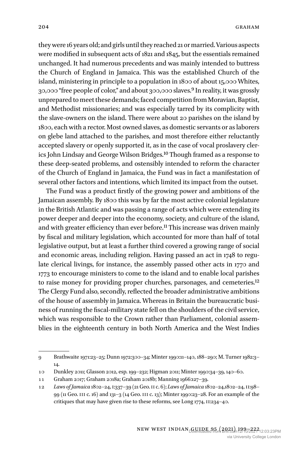they were 16 years old; and girls until they reached 21 or married. Various aspects were modified in subsequent acts of 1821 and 1845, but the essentials remained unchanged. It had numerous precedents and was mainly intended to buttress the Church of England in Jamaica. This was the established Church of the island, ministering in principle to a population in 1800 of about 15,000 Whites, 30,000 "free people of color," and about 300,000 slaves.9In reality, it was grossly unprepared to meet these demands; faced competition from Moravian, Baptist, and Methodist missionaries; and was especially tarred by its complicity with the slave-owners on the island. There were about 20 parishes on the island by 1800, each with a rector. Most owned slaves, as domestic servants or as laborers on glebe land attached to the parishes, and most therefore either reluctantly accepted slavery or openly supported it, as in the case of vocal proslavery clerics John Lindsay and George Wilson Bridges.10 Though framed as a response to these deep-seated problems, and ostensibly intended to reform the character of the Church of England in Jamaica, the Fund was in fact a manifestation of several other factors and intentions, which limited its impact from the outset.

The Fund was a product firstly of the growing power and ambitions of the Jamaican assembly. By 1800 this was by far the most active colonial legislature in the British Atlantic and was passing a range of acts which were extending its power deeper and deeper into the economy, society, and culture of the island, and with greater efficiency than ever before.<sup>11</sup> This increase was driven mainly by fiscal and military legislation, which accounted for more than half of total legislative output, but at least a further third covered a growing range of social and economic areas, including religion. Having passed an act in 1748 to regulate clerical livings, for instance, the assembly passed other acts in 1770 and 1773 to encourage ministers to come to the island and to enable local parishes to raise money for providing proper churches, parsonages, and cemeteries.<sup>12</sup> The Clergy Fund also, secondly, reflected the broader administrative ambitions of the house of assembly in Jamaica. Whereas in Britain the bureaucratic business of running the fiscal-military state fell on the shoulders of the civil service, which was responsible to the Crown rather than Parliament, colonial assemblies in the eighteenth century in both North America and the West Indies

<sup>9</sup> Brathwaite 1971:23–25; Dunn 1972:300–34; Minter 1990:11–140, 188–290; M. Turner 1982:3– 14.

<sup>10</sup> Dunkley 2011; Glasson 2012, esp. 199–232; Higman 2011; Minter 1990:34–39, 140–60.

<sup>11</sup> Graham 2017; Graham 2018a; Graham 2018b; Manning 1966:127–39.

<sup>12</sup> *Laws of Jamaica* 1802–24, i:337–39 (21 Geo. ii c. 6); *Laws of Jamaica* 1802–24,1802–24, ii:98– 99 (11 Geo. iii c. 16) and 131–3 (14 Geo. iii c. 13); Minter 1990:23–28. For an example of the critiques that may have given rise to these reforms, see Long 1774, II:234-40.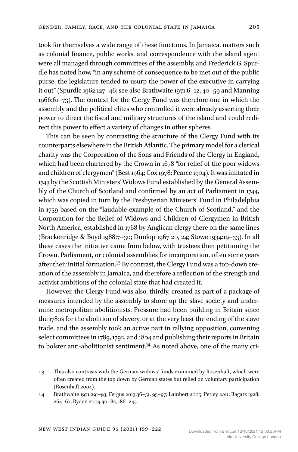took for themselves a wide range of these functions. In Jamaica, matters such as colonial finance, public works, and correspondence with the island agent were all managed through committees of the assembly, and Frederick G. Spurdle has noted how, "in any scheme of consequence to be met out of the public purse, the legislature tended to usurp the power of the executive in carrying it out" (Spurdle 1962:127–46; see also Brathwaite 1971:6–12, 40–59 and Manning 1966:61–73). The context for the Clergy Fund was therefore one in which the assembly and the political elites who controlled it were already asserting their power to direct the fiscal and military structures of the island and could redirect this power to effect a variety of changes in other spheres.

This can be seen by contrasting the structure of the Clergy Fund with its counterparts elsewhere in the British Atlantic. The primary model for a clerical charity was the Corporation of the Sons and Friends of the Clergy in England, which had been chartered by the Crown in 1678 "for relief of the poor widows and children of clergymen" (Best 1964; Cox 1978; Pearce 1904). It was imitated in 1743 by the Scottish Ministers'Widows Fund established by the General Assembly of the Church of Scotland and confirmed by an act of Parliament in 1744, which was copied in turn by the Presbyterian Ministers' Fund in Philadelphia in 1759 based on the "laudable example of the Church of Scotland," and the Corporation for the Relief of Widows and Children of Clergymen in British North America, established in 1768 by Anglican clergy there on the same lines (Brackenridge & Boyd 1988:7–30; Dunlop 1967 20, 24; Stowe 1934:19–33). In all these cases the initiative came from below, with trustees then petitioning the Crown, Parliament, or colonial assemblies for incorporation, often some years after their initial formation.13 By contrast, the Clergy Fund was a top-down creation of the assembly in Jamaica, and therefore a reflection of the strength and activist ambitions of the colonial state that had created it.

However, the Clergy Fund was also, thirdly, created as part of a package of measures intended by the assembly to shore up the slave society and undermine metropolitan abolitionists. Pressure had been building in Britain since the 1780s for the abolition of slavery, or at the very least the ending of the slave trade, and the assembly took an active part in rallying opposition, convening select committees in 1789, 1792, and 1804 and publishing their reports in Britain to bolster anti-abolitionist sentiment.<sup>14</sup> As noted above, one of the many cri-

<sup>13</sup> This also contrasts with the German widows' funds examined by Rosenhaft, which were often created from the top down by German states but relied on voluntary participation (Rosenhaft 2004).

<sup>14</sup> Brathwaite 1971:291–93; Fergus 2013:36–51, 95–97; Lambert 2005; Petley 2011; Ragatz 1928: 264–67; Ryden 2009:40–82, 186–215.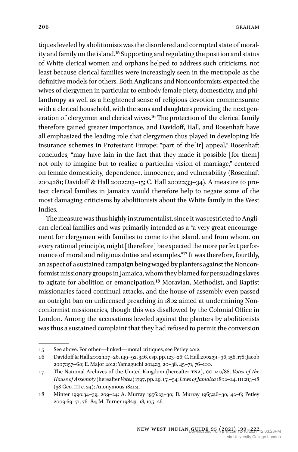tiques leveled by abolitionists was the disordered and corrupted state of morality and family on the island.15 Supporting and regulating the position and status of White clerical women and orphans helped to address such criticisms, not least because clerical families were increasingly seen in the metropole as the definitive models for others. Both Anglicans and Nonconformists expected the wives of clergymen in particular to embody female piety, domesticity, and philanthropy as well as a heightened sense of religious devotion commensurate with a clerical household, with the sons and daughters providing the next generation of clergymen and clerical wives.16 The protection of the clerical family therefore gained greater importance, and Davidoff, Hall, and Rosenhaft have all emphasized the leading role that clergymen thus played in developing life insurance schemes in Protestant Europe; "part of the[ir] appeal," Rosenhaft concludes, "may have lain in the fact that they made it possible [for them] not only to imagine but to realize a particular vision of marriage," centered on female domesticity, dependence, innocence, and vulnerability (Rosenhaft 2004:181; Davidoff & Hall 2002:213–15; C. Hall 2002:233–34). A measure to protect clerical families in Jamaica would therefore help to negate some of the most damaging criticisms by abolitionists about the White family in the West Indies.

The measure was thus highly instrumentalist, since it was restricted to Anglican clerical families and was primarily intended as a "a very great encouragement for clergymen with families to come to the island, and from whom, on every rational principle, might [therefore] be expected the more perfect performance of moral and religious duties and examples."17 It was therefore, fourthly, an aspect of a sustained campaign being waged by planters against the Nonconformist missionary groups in Jamaica, whom they blamed for persuading slaves to agitate for abolition or emancipation.18 Moravian, Methodist, and Baptist missionaries faced continual attacks, and the house of assembly even passed an outright ban on unlicensed preaching in 1802 aimed at undermining Nonconformist missionaries, though this was disallowed by the Colonial Office in London. Among the accusations leveled against the planters by abolitionists was thus a sustained complaint that they had refused to permit the conversion

<sup>15</sup> See above. For other—linked—moral critiques, see Petley 2012.

<sup>16</sup> Davidoff & Hall 2002:107–26,149–92, 346, esp. pp.123–26; C. Hall 2002:91–96,158,178;Jacob 2007:157–60; E. Major 2012; Yamaguchi 2014:13, 20–38, 45–71, 76–100.

<sup>17</sup> The National Archives of the United Kingdom (hereafter tna), co 140/88, *Votes of the House of Assembly* (hereafter*Votes*) 1797, pp. 29, 151–54; *Laws of Jamaica* 1802–24, iii:213–18 (38 Geo. iii c. 24); Anonymous 1841:4.

<sup>18</sup> Minter 1990:34–39, 209–24; A. Murray 1956:23–30; D. Murray 1965:26–30, 42–6; Petley 2009:69–71, 76–84; M. Turner 1982:3–18, 105–26.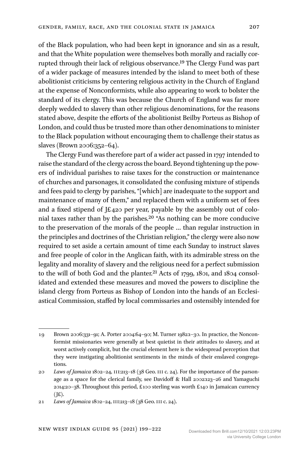of the Black population, who had been kept in ignorance and sin as a result, and that the White population were themselves both morally and racially corrupted through their lack of religious observance.19 The Clergy Fund was part of a wider package of measures intended by the island to meet both of these abolitionist criticisms by centering religious activity in the Church of England at the expense of Nonconformists, while also appearing to work to bolster the standard of its clergy. This was because the Church of England was far more deeply wedded to slavery than other religious denominations, for the reasons stated above, despite the efforts of the abolitionist Beilby Porteus as Bishop of London, and could thus be trusted more than other denominations to minister to the Black population without encouraging them to challenge their status as slaves (Brown 2006:352–64).

The Clergy Fund was therefore part of a wider act passed in 1797 intended to raise the standard of the clergy across the board. Beyond tightening up the powers of individual parishes to raise taxes for the construction or maintenance of churches and parsonages, it consolidated the confusing mixture of stipends and fees paid to clergy by parishes, "[which] are inadequate to the support and maintenance of many of them," and replaced them with a uniform set of fees and a fixed stipend of J£420 per year, payable by the assembly out of colonial taxes rather than by the parishes.20 "As nothing can be more conducive to the preservation of the morals of the people … than regular instruction in the principles and doctrines of the Christian religion," the clergy were also now required to set aside a certain amount of time each Sunday to instruct slaves and free people of color in the Anglican faith, with its admirable stress on the legality and morality of slavery and the religious need for a perfect submission to the will of both God and the planter.<sup>21</sup> Acts of 1799, 1801, and 1804 consolidated and extended these measures and moved the powers to discipline the island clergy from Porteus as Bishop of London into the hands of an Ecclesiastical Commission, staffed by local commissaries and ostensibly intended for

<sup>19</sup> Brown 2006:331–91; A. Porter 2004:64–90; M. Turner 1982:1–30. In practice, the Nonconformist missionaries were generally at best quietist in their attitudes to slavery, and at worst actively complicit, but the crucial element here is the widespread perception that they were instigating abolitionist sentiments in the minds of their enslaved congregations.

<sup>20</sup> *Laws of Jamaica* 1802–24, iii:213–18 (38 Geo. iii c. 24). For the importance of the parsonage as a space for the clerical family, see Davidoff & Hall 2002:123–26 and Yamaguchi 2014:20–38. Throughout this period, £100 sterling was worth £140 in Jamaican currency  $(E).$ 

<sup>21</sup> *Laws of Jamaica* 1802–24, iii:213–18 (38 Geo. iii c. 24).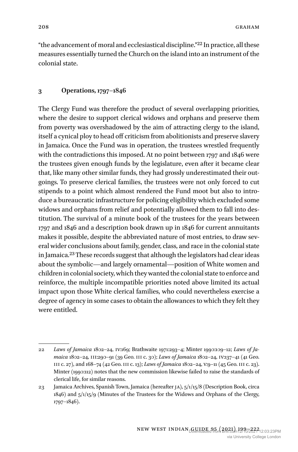### **3 Operations, 1797–1846**

The Clergy Fund was therefore the product of several overlapping priorities, where the desire to support clerical widows and orphans and preserve them from poverty was overshadowed by the aim of attracting clergy to the island, itself a cynical ploy to head off criticism from abolitionists and preserve slavery in Jamaica. Once the Fund was in operation, the trustees wrestled frequently with the contradictions this imposed. At no point between 1797 and 1846 were the trustees given enough funds by the legislature, even after it became clear that, like many other similar funds, they had grossly underestimated their outgoings. To preserve clerical families, the trustees were not only forced to cut stipends to a point which almost rendered the Fund moot but also to introduce a bureaucratic infrastructure for policing eligibility which excluded some widows and orphans from relief and potentially allowed them to fall into destitution. The survival of a minute book of the trustees for the years between 1797 and 1846 and a description book drawn up in 1846 for current annuitants makes it possible, despite the abbreviated nature of most entries, to draw several wider conclusions about family, gender, class, and race in the colonial state in Jamaica.23 These records suggest that although the legislators had clear ideas about the symbolic—and largely ornamental—position of White women and children in colonial society, which they wanted the colonial state to enforce and reinforce, the multiple incompatible priorities noted above limited its actual impact upon those White clerical families, who could nevertheless exercise a degree of agency in some cases to obtain the allowances to which they felt they were entitled.

<sup>22</sup> *Laws of Jamaica* 1802–24, iv:169; Brathwaite 1971:293–4; Minter 1990:109–12; *Laws of Jamaica* 1802–24, iii:290–91 (39 Geo. iii c. 30); *Laws of Jamaica* 1802–24, iv:137–41 (41 Geo. iii c. 27), and 168–74 (42 Geo. iii c. 13); *Laws of Jamaica* 1802–24, v:9–11 (45 Geo. iii c. 23). Minter (1990:112) notes that the new commission likewise failed to raise the standards of clerical life, for similar reasons.

<sup>23</sup> Jamaica Archives, Spanish Town, Jamaica (hereafter ja), 5/1/15/8 (Description Book, circa 1846) and 5/1/15/9 (Minutes of the Trustees for the Widows and Orphans of the Clergy, 1797–1846).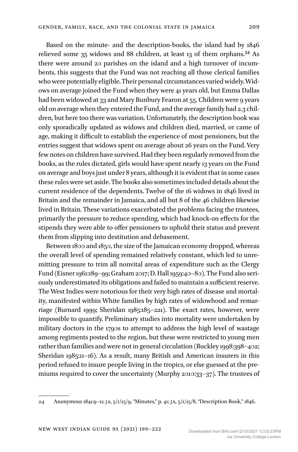Based on the minute- and the description-books, the island had by 1846 relieved some 35 widows and 88 children, at least 13 of them orphans.<sup>24</sup> As there were around 20 parishes on the island and a high turnover of incumbents, this suggests that the Fund was not reaching all those clerical families who were potentially eligible. Their personal circumstances varied widely.Widows on average joined the Fund when they were 41 years old, but Emma Dallas had been widowed at 33 and Mary Bunbury Fearon at 55. Children were 9 years old on average when they entered the Fund, and the average family had 2.3 children, but here too there was variation. Unfortunately, the description book was only sporadically updated as widows and children died, married, or came of age, making it difficult to establish the experience of most pensioners, but the entries suggest that widows spent on average about 26 years on the Fund. Very few notes on children have survived. Had they been regularly removed from the books, as the rules dictated, girls would have spent nearly 13 years on the Fund on average and boys just under 8 years, although it is evident that in some cases these rules were set aside. The books also sometimes included details about the current residence of the dependents. Twelve of the 16 widows in 1846 lived in Britain and the remainder in Jamaica, and all but 8 of the 46 children likewise lived in Britain. These variations exacerbated the problems facing the trustees, primarily the pressure to reduce spending, which had knock-on effects for the stipends they were able to offer pensioners to uphold their status and prevent them from slipping into destitution and debasement.

Between 1800 and 1850, the size of the Jamaican economy dropped, whereas the overall level of spending remained relatively constant, which led to unremitting pressure to trim all nonvital areas of expenditure such as the Clergy Fund (Eisner 1961:189–99; Graham 2017; D. Hall 1959:40–80). The Fund also seriously underestimated its obligations and failed to maintain a sufficient reserve. The West Indies were notorious for their very high rates of disease and mortality, manifested within White families by high rates of widowhood and remarriage (Burnard 1999; Sheridan 1985:185–221). The exact rates, however, were impossible to quantify. Preliminary studies into mortality were undertaken by military doctors in the 1790s to attempt to address the high level of wastage among regiments posted to the region, but these were restricted to young men rather than families and were not in general circulation (Buckley 1998:398–402; Sheridan 1985:11–16). As a result, many British and American insurers in this period refused to insure people living in the tropics, or else guessed at the premiums required to cover the uncertainty (Murphy 2010:33–37). The trustees of

<sup>24</sup> Anonymous 1841:9–11; ja, 5/1/15/9, "Minutes," p. 41; ja, 5/1/15/8, "Description Book," 1846.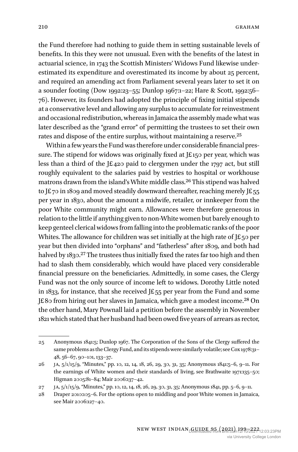the Fund therefore had nothing to guide them in setting sustainable levels of benefits. In this they were not unusual. Even with the benefits of the latest in actuarial science, in 1743 the Scottish Ministers' Widows Fund likewise underestimated its expenditure and overestimated its income by about 25 percent, and required an amending act from Parliament several years later to set it on a sounder footing (Dow 1992:23–55; Dunlop 1967:1–22; Hare & Scott, 1992:56– 76). However, its founders had adopted the principle of fixing initial stipends at a conservative level and allowing any surplus to accumulate for reinvestment and occasional redistribution, whereas in Jamaica the assembly made what was later described as the "grand error" of permitting the trustees to set their own rates and dispose of the entire surplus, without maintaining a reserve.25

Within a few years the Fund was therefore under considerable financial pressure. The stipend for widows was originally fixed at J£150 per year, which was less than a third of the J£420 paid to clergymen under the 1797 act, but still roughly equivalent to the salaries paid by vestries to hospital or workhouse matrons drawn from the island's White middle class.26 This stipend was halved to J£70 in 1809 and moved steadily downward thereafter, reaching merely J£55 per year in 1830, about the amount a midwife, retailer, or innkeeper from the poor White community might earn. Allowances were therefore generous in relation to the little if anything given to non-White women but barely enough to keep genteel clerical widows from falling into the problematic ranks of the poor Whites. The allowance for children was set initially at the high rate of  $JE_5$  per year but then divided into "orphans" and "fatherless" after 1809, and both had halved by 1830.<sup>27</sup> The trustees thus initially fixed the rates far too high and then had to slash them considerably, which would have placed very considerable financial pressure on the beneficiaries. Admittedly, in some cases, the Clergy Fund was not the only source of income left to widows. Dorothy Little noted in 1833, for instance, that she received J£55 per year from the Fund and some J£80 from hiring out her slaves in Jamaica, which gave a modest income.<sup>28</sup> On the other hand, Mary Pownall laid a petition before the assembly in November 1821 which stated that her husband had been owed five years of arrears as rector,

<sup>25</sup> Anonymous 1841:5; Dunlop 1967. The Corporation of the Sons of the Clergy suffered the same problems as the Clergy Fund, and its stipendswere similarly volatile; see Cox1978:31– 48, 56–67, 90–101, 133–37.

<sup>26</sup> ja, 5/1/15/9, "Minutes," pp. 10, 12, 14, 18, 26, 29, 30, 31, 35; Anonymous 1841:5–6, 9–11. For the earnings of White women and their standards of living, see Brathwaite 1971:135–50; Higman 2005:81–84; Mair 2006:137–42.

<sup>27</sup> ja, 5/1/15/9, "Minutes," pp. 10, 12, 14, 18, 26, 29, 30, 31, 35; Anonymous 1841, pp. 5–6, 9–11.

<sup>28</sup> Draper 2010:105–6. For the options open to middling and poor White women in Jamaica, see Mair 2006:127–40.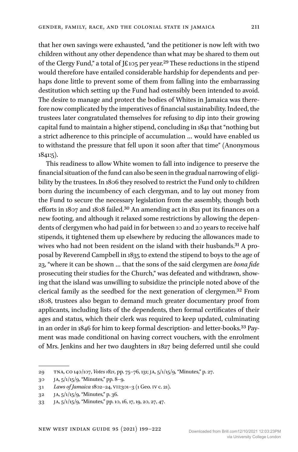that her own savings were exhausted, "and the petitioner is now left with two children without any other dependence than what may be shared to them out of the Clergy Fund," a total of J£105 per year.29 These reductions in the stipend would therefore have entailed considerable hardship for dependents and perhaps done little to prevent some of them from falling into the embarrassing destitution which setting up the Fund had ostensibly been intended to avoid. The desire to manage and protect the bodies of Whites in Jamaica was therefore now complicated by the imperatives of financial sustainability. Indeed, the trustees later congratulated themselves for refusing to dip into their growing capital fund to maintain a higher stipend, concluding in 1841 that "nothing but a strict adherence to this principle of accumulation … would have enabled us to withstand the pressure that fell upon it soon after that time" (Anonymous 1841:5).

This readiness to allow White women to fall into indigence to preserve the financial situation of the fund can also be seen in the gradual narrowing of eligibility by the trustees. In 1806 they resolved to restrict the Fund only to children born during the incumbency of each clergyman, and to lay out money from the Fund to secure the necessary legislation from the assembly, though both efforts in 1807 and 1808 failed.30 An amending act in 1821 put its finances on a new footing, and although it relaxed some restrictions by allowing the dependents of clergymen who had paid in for between 10 and 20 years to receive half stipends, it tightened them up elsewhere by reducing the allowances made to wives who had not been resident on the island with their husbands.<sup>31</sup> A proposal by Reverend Campbell in 1835 to extend the stipend to boys to the age of 23, "where it can be shown … that the sons of the said clergymen are *bona fide* prosecuting their studies for the Church," was defeated and withdrawn, showing that the island was unwilling to subsidize the principle noted above of the clerical family as the seedbed for the next generation of clergymen.32 From 1808, trustees also began to demand much greater documentary proof from applicants, including lists of the dependents, then formal certificates of their ages and status, which their clerk was required to keep updated, culminating in an order in 1846 for him to keep formal description- and letter-books.<sup>33</sup> Payment was made conditional on having correct vouchers, with the enrolment of Mrs. Jenkins and her two daughters in 1827 being deferred until she could

<sup>29</sup> tna, co 140/107, *Votes 1821*, pp. 75–76, 131; ja, 5/1/15/9, "Minutes," p. 27.

<sup>30</sup> JA,  $5/1/15/9$ , "Minutes," pp. 8–9.

<sup>31</sup> *Laws of Jamaica* 1802–24, vii:301–3 (1 Geo. iv c. 21).

<sup>32</sup> ja, 5/1/15/9, "Minutes," p. 36.

<sup>33</sup> JA,  $\frac{5}{15/9}$ , "Minutes," pp. 10, 16, 17, 19, 20, 27, 47.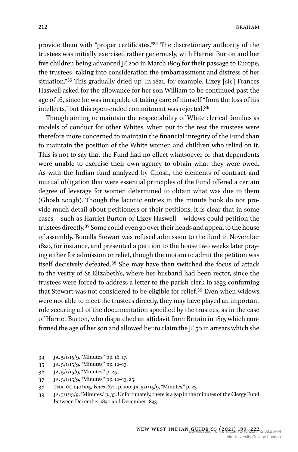provide them with "proper certificates."34 The discretionary authority of the trustees was initially exercised rather generously, with Harriet Burton and her five children being advanced J£200 in March 1809 for their passage to Europe, the trustees "taking into consideration the embarrassment and distress of her situation."35 This gradually dried up. In 1821, for example, Lizey [sic] Frances Haswell asked for the allowance for her son William to be continued past the age of 16, since he was incapable of taking care of himself "from the loss of his intellects," but this open-ended commitment was rejected.36

Though aiming to maintain the respectability of White clerical families as models of conduct for other Whites, when put to the test the trustees were therefore more concerned to maintain the financial integrity of the Fund than to maintain the position of the White women and children who relied on it. This is not to say that the Fund had no effect whatsoever or that dependents were unable to exercise their own agency to obtain what they were owed. As with the Indian fund analyzed by Ghosh, the elements of contract and mutual obligation that were essential principles of the Fund offered a certain degree of leverage for women determined to obtain what was due to them (Ghosh 2003b). Though the laconic entries in the minute book do not provide much detail about petitioners or their petitions, it is clear that in some cases—such as Harriet Burton or Lizey Haswell—widows could petition the trustees directly.37 Some could even go over their heads and appeal to the house of assembly. Bonella Stewart was refused admission to the fund in November 1820, for instance, and presented a petition to the house two weeks later praying either for admission or relief, though the motion to admit the petition was itself decisively defeated.38 She may have then switched the focus of attack to the vestry of St Elizabeth's, where her husband had been rector, since the trustees were forced to address a letter to the parish clerk in 1833 confirming that Stewart was not considered to be eligible for relief.39 Even when widows were not able to meet the trustees directly, they may have played an important role securing all of the documentation specified by the trustees, as in the case of Harriet Burton, who dispatched an affidavit from Britain in 1815 which confirmed the age of her son and allowed her to claim the  $E_5$  in arrears which she

<sup>34</sup> JA,  $5/1/15/9$ , "Minutes," pp. 16, 17.

<sup>35</sup> ja, 5/1/15/9, "Minutes," pp. 12–13.

<sup>36</sup> JA,  $5/1/15/9$ , "Minutes," p. 25.

<sup>37</sup> JA,  $5/1/15/9$ , "Minutes," pp. 12–13, 25.

<sup>38</sup> tna, co 140/105, *Votes 1820*, p. 100; ja, 5/1/15/9, "Minutes," p. 23.

<sup>39</sup> ja, 5/1/15/9,"Minutes," p. 35. Unfortunately, there is a gap in the minutes of the Clergy Fund between December 1830 and December 1833.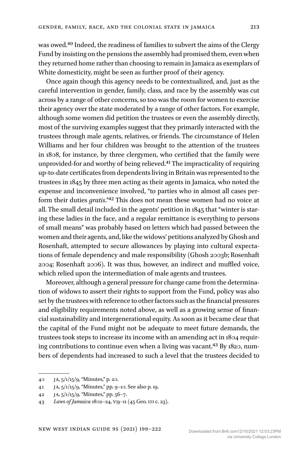was owed.<sup>40</sup> Indeed, the readiness of families to subvert the aims of the Clergy Fund by insisting on the pensions the assembly had promised them, even when they returned home rather than choosing to remain in Jamaica as exemplars of White domesticity, might be seen as further proof of their agency.

Once again though this agency needs to be contextualized, and, just as the careful intervention in gender, family, class, and race by the assembly was cut across by a range of other concerns, so too was the room for women to exercise their agency over the state moderated by a range of other factors. For example, although some women did petition the trustees or even the assembly directly, most of the surviving examples suggest that they primarily interacted with the trustees through male agents, relatives, or friends. The circumstance of Helen Williams and her four children was brought to the attention of the trustees in 1808, for instance, by three clergymen, who certified that the family were unprovided-for and worthy of being relieved.41 The impracticality of requiring up-to-date certificates from dependents living in Britain was represented to the trustees in 1845 by three men acting as their agents in Jamaica, who noted the expense and inconvenience involved, "to parties who in almost all cases perform their duties *gratis*."42 This does not mean these women had no voice at all. The small detail included in the agents' petition in 1845 that "winter is staring these ladies in the face, and a regular remittance is everything to persons of small means" was probably based on letters which had passed between the women and their agents, and, like the widows' petitions analyzed by Ghosh and Rosenhaft, attempted to secure allowances by playing into cultural expectations of female dependency and male responsibility (Ghosh 2003b; Rosenhaft 2004; Rosenhaft 2006). It was thus, however, an indirect and muffled voice, which relied upon the intermediation of male agents and trustees.

Moreover, although a general pressure for change came from the determination of widows to assert their rights to support from the Fund, policy was also set by the trustees with reference to other factors such as the financial pressures and eligibility requirements noted above, as well as a growing sense of financial sustainability and intergenerational equity. As soon as it became clear that the capital of the Fund might not be adequate to meet future demands, the trustees took steps to increase its income with an amending act in 1804 requiring contributions to continue even when a living was vacant.43 By 1820, numbers of dependents had increased to such a level that the trustees decided to

Downloaded from Brill.com12/10/2021 12:03:23PM

<sup>40</sup> JA,  $5/1/15/9$ , "Minutes," p. 20.

<sup>41</sup> ja, 5/1/15/9, "Minutes," pp. 9–10. See also p. 19.

<sup>42</sup> JA,  $5/1/15/9$ , "Minutes," pp.  $56-7$ .

<sup>43</sup> *Laws of Jamaica* 1802–24, v:9–11 (45 Geo. iii c. 23).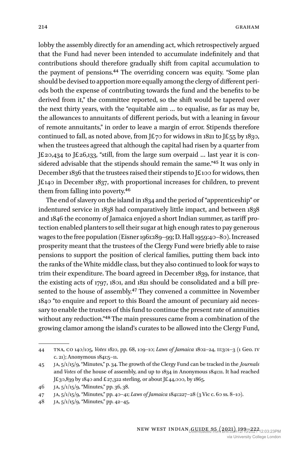lobby the assembly directly for an amending act, which retrospectively argued that the Fund had never been intended to accumulate indefinitely and that contributions should therefore gradually shift from capital accumulation to the payment of pensions.44 The overriding concern was equity. "Some plan should be devised to apportion more equally among the clergy of different periods both the expense of contributing towards the fund and the benefits to be derived from it," the committee reported, so the shift would be tapered over the next thirty years, with the "equitable aim … to equalise, as far as may be, the allowances to annuitants of different periods, but with a leaning in favour of remote annuitants," in order to leave a margin of error. Stipends therefore continued to fall, as noted above, from J£70 for widows in 1821 to J£55 by 1830, when the trustees agreed that although the capital had risen by a quarter from J£20,434 to J£26,133, "still, from the large sum overpaid … last year it is considered advisable that the stipends should remain the same."45 It was only in December 1836 that the trustees raised their stipends to J£100 for widows, then J£140 in December 1837, with proportional increases for children, to prevent them from falling into poverty.46

The end of slavery on the island in 1834 and the period of "apprenticeship" or indentured service in 1838 had comparatively little impact, and between 1838 and 1846 the economy of Jamaica enjoyed a short Indian summer, as tariff protection enabled planters to sell their sugar at high enough rates to pay generous wages to the free population (Eisner 1961:189–99; D. Hall 1959:40–80). Increased prosperity meant that the trustees of the Clergy Fund were briefly able to raise pensions to support the position of clerical families, putting them back into the ranks of the White middle class, but they also continued to look for ways to trim their expenditure. The board agreed in December 1839, for instance, that the existing acts of 1797, 1801, and 1821 should be consolidated and a bill presented to the house of assembly.<sup>47</sup> They convened a committee in November 1840 "to enquire and report to this Board the amount of pecuniary aid necessary to enable the trustees of this fund to continue the present rate of annuities without any reduction."48 The main pressures came from a combination of the growing clamor among the island's curates to be allowed into the Clergy Fund,

<sup>44</sup> tna, co 140/105, *Votes 1820*, pp. 68, 109–10; *Laws of Jamaica* 1802–24, ii:301–3 (1 Geo. iv c. 21); Anonymous 1841:5–11.

<sup>45</sup> ja, 5/1/15/9, "Minutes," p. 34. The growth of the Clergy Fund can be tracked in the *Journals* and *Votes* of the house of assembly, and up to 1834 in Anonymous 1841:11. It had reached J£30,839 by 1840 and £27,322 sterling, or about J£44,000, by 1865.

<sup>46</sup> ja, 5/1/15/9, "Minutes," pp. 36, 38.

<sup>47</sup> ja, 5/1/15/9, "Minutes," pp. 40–41; *Laws of Jamaica* 1841:227–28 (3 Vic c. 60 ss. 8–10).

<sup>48</sup> JA,  $5/1/15/9$ , "Minutes," pp. 42–45.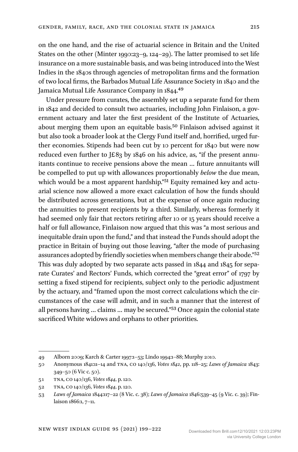on the one hand, and the rise of actuarial science in Britain and the United States on the other (Minter 1990:23–9, 124–29). The latter promised to set life insurance on a more sustainable basis, and was being introduced into the West Indies in the 1840s through agencies of metropolitan firms and the formation of two local firms, the Barbados Mutual Life Assurance Society in 1840 and the Jamaica Mutual Life Assurance Company in 1844.49

Under pressure from curates, the assembly set up a separate fund for them in 1842 and decided to consult two actuaries, including John Finlaison, a government actuary and later the first president of the Institute of Actuaries, about merging them upon an equitable basis.50 Finlaison advised against it but also took a broader look at the Clergy Fund itself and, horrified, urged further economies. Stipends had been cut by 10 percent for 1840 but were now reduced even further to J£83 by 1846 on his advice, as, "if the present annuitants continue to receive pensions above the mean … future annuitants will be compelled to put up with allowances proportionably *below* the due mean, which would be a most apparent hardship."<sup>51</sup> Equity remained key and actuarial science now allowed a more exact calculation of how the funds should be distributed across generations, but at the expense of once again reducing the annuities to present recipients by a third. Similarly, whereas formerly it had seemed only fair that rectors retiring after 10 or 15 years should receive a half or full allowance, Finlaison now argued that this was "a most serious and inequitable drain upon the fund," and that instead the Funds should adopt the practice in Britain of buying out those leaving, "after the mode of purchasing assurances adopted by friendly societies when members change their abode."52 This was duly adopted by two separate acts passed in 1844 and 1845 for separate Curates' and Rectors' Funds, which corrected the "great error" of 1797 by setting a fixed stipend for recipients, subject only to the periodic adjustment by the actuary, and "framed upon the most correct calculations which the circumstances of the case will admit, and in such a manner that the interest of all persons having … claims … may be secured."53 Once again the colonial state sacrificed White widows and orphans to other priorities.

<sup>49</sup> Alborn 2009; Karch & Carter 1997:1–53; Lindo 1994:1–88; Murphy 2010.

<sup>50</sup> Anonymous 1841:11–14 and tna, co 140/136, *Votes 1842*, pp. 118–25; *Laws of Jamaica* 1843: 349–50 (6 Vic c. 50).

<sup>51</sup> tna, co 140/136, *Votes 1844*, p. 120.

<sup>52</sup> tna, co 140/136, *Votes 1844*, p. 120.

<sup>53</sup> *Laws of Jamaica* 1844:117–22 (8 Vic. c. 38); *Laws of Jamaica* 1846:539–45 (9 Vic. c. 39); Finlaison 1866:1, 7–11.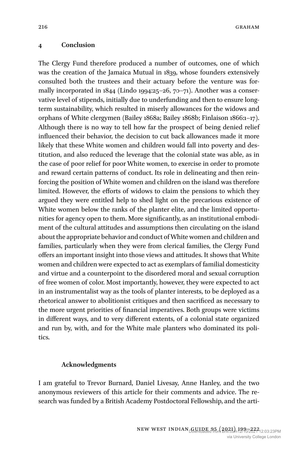#### **4 Conclusion**

The Clergy Fund therefore produced a number of outcomes, one of which was the creation of the Jamaica Mutual in 1839, whose founders extensively consulted both the trustees and their actuary before the venture was formally incorporated in 1844 (Lindo 1994:25–26, 70–71). Another was a conservative level of stipends, initially due to underfunding and then to ensure longterm sustainability, which resulted in miserly allowances for the widows and orphans of White clergymen (Bailey 1868a; Bailey 1868b; Finlaison 1866:1–17). Although there is no way to tell how far the prospect of being denied relief influenced their behavior, the decision to cut back allowances made it more likely that these White women and children would fall into poverty and destitution, and also reduced the leverage that the colonial state was able, as in the case of poor relief for poor White women, to exercise in order to promote and reward certain patterns of conduct. Its role in delineating and then reinforcing the position of White women and children on the island was therefore limited. However, the efforts of widows to claim the pensions to which they argued they were entitled help to shed light on the precarious existence of White women below the ranks of the planter elite, and the limited opportunities for agency open to them. More significantly, as an institutional embodiment of the cultural attitudes and assumptions then circulating on the island about the appropriate behavior and conduct of White women and children and families, particularly when they were from clerical families, the Clergy Fund offers an important insight into those views and attitudes. It shows that White women and children were expected to act as exemplars of familial domesticity and virtue and a counterpoint to the disordered moral and sexual corruption of free women of color. Most importantly, however, they were expected to act in an instrumentalist way as the tools of planter interests, to be deployed as a rhetorical answer to abolitionist critiques and then sacrificed as necessary to the more urgent priorities of financial imperatives. Both groups were victims in different ways, and to very different extents, of a colonial state organized and run by, with, and for the White male planters who dominated its politics.

#### **Acknowledgments**

I am grateful to Trevor Burnard, Daniel Livesay, Anne Hanley, and the two anonymous reviewers of this article for their comments and advice. The research was funded by a British Academy Postdoctoral Fellowship, and the arti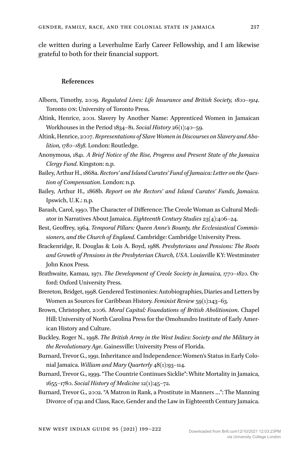cle written during a Leverhulme Early Career Fellowship, and I am likewise grateful to both for their financial support.

#### **References**

- Alborn, Timothy, 2009. *Regulated Lives: Life Insurance and British Society, 1800–1914*. Toronto on: University of Toronto Press.
- Altink, Henrice, 2001. Slavery by Another Name: Apprenticed Women in Jamaican Workhouses in the Period 1834–81. *Social History* 26(1):40–59.
- Altink, Henrice, 2007. *Representations of SlaveWomen in Discourses on Slavery and Abolition, 1780–1838*. London: Routledge.
- Anonymous, 1841. *A Brief Notice of the Rise, Progress and Present State of the Jamaica Clergy Fund*. Kingston: n.p.
- Bailey, Arthur H., 1868a. *Rectors' and Island Curates' Fund of Jamaica: Letter on the Question of Compensation*. London: n.p.
- Bailey, Arthur H., 1868b. *Report on the Rectors' and Island Curates' Funds, Jamaica*. Ipswich, U.K.: n.p.
- Barash, Carol, 1990. The Character of Difference: The Creole Woman as Cultural Mediator in Narratives About Jamaica. *Eighteenth Century Studies* 23(4):406–24.
- Best, Geoffrey, 1964. *Temporal Pillars: Queen Anne's Bounty, the Ecclesiastical Commissioners, and the Church of England*. Cambridge: Cambridge University Press.
- Brackenridge, R. Douglas & Lois A. Boyd, 1988. *Presbyterians and Pensions: The Roots and Growth of Pensions in the Presbyterian Church, USA*. Louisville KY: Westminster John Knox Press.
- Brathwaite, Kamau, 1971. *The Development of Creole Society in Jamaica, 1770–1820*. Oxford: Oxford University Press.
- Brereton, Bridget, 1998. Gendered Testimonies: Autobiographies, Diaries and Letters by Women as Sources for Caribbean History. *Feminist Review* 59(1):143–63.
- Brown, Christopher, 2006. *Moral Capital: Foundations of British Abolitionism*. Chapel Hill: University of North Carolina Press for the Omohundro Institute of Early American History and Culture.
- Buckley, Roger N., 1998. *The British Army in the West Indies: Society and the Military in the Revolutionary Age*. Gainesville: University Press of Florida.
- Burnard, Trevor G., 1991. Inheritance and Independence: Women's Status in Early Colonial Jamaica. *William and Mary Quarterly* 48(1):93–114.
- Burnard, Trevor G., 1999. "The Countrie Continues Sicklie": White Mortality in Jamaica, 1655–1780. *Social History of Medicine*12(1):45–72.
- Burnard, Trevor G., 2002. "A Matron in Rank, a Prostitute in Manners …": The Manning Divorce of 1741 and Class, Race, Gender and the Law in Eighteenth Century Jamaica.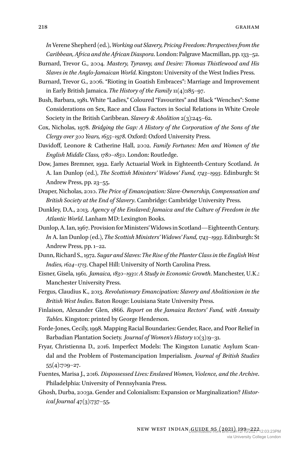*In* Verene Shepherd (ed.), *Working out Slavery, Pricing Freedom: Perspectives from the Caribbean, Africa and the African Diaspora*. London: Palgrave Macmillan, pp. 133–52.

- Burnard, Trevor G., 2004. *Mastery, Tyranny, and Desire: Thomas Thistlewood and His Slaves in the Anglo-Jamaican World*. Kingston: University of the West Indies Press.
- Burnard, Trevor G., 2006. "Rioting in Goatish Embraces": Marriage and Improvement in Early British Jamaica. *The History of the Family* 11(4):185–97.
- Bush, Barbara, 1981. White "Ladies," Coloured "Favourites" and Black "Wenches": Some Considerations on Sex, Race and Class Factors in Social Relations in White Creole Society in the British Caribbean. *Slavery & Abolition* 2(3):245–62.
- Cox, Nicholas, 1978. *Bridging the Gap: A History of the Corporation of the Sons of the Clergy over 300 Years, 1655–1978*. Oxford: Oxford University Press.
- Davidoff, Leonore & Catherine Hall, 2002. *Family Fortunes: Men and Women of the English Middle Class, 1780–1850*. London: Routledge.
- Dow, James Bremner, 1992. Early Actuarial Work in Eighteenth-Century Scotland. *In* A. Ian Dunlop (ed.), *The Scottish Ministers' Widows' Fund, 1743–1993*. Edinburgh: St Andrew Press, pp. 23–55.
- Draper, Nicholas, 2010. *The Price of Emancipation: Slave-Ownership, Compensation and British Society at the End of Slavery*. Cambridge: Cambridge University Press.
- Dunkley, D.A., 2013. *Agency of the Enslaved: Jamaica and the Culture of Freedom in the Atlantic World*. Lanham MD: Lexington Books.
- Dunlop, A. Ian, 1967. Provision for Ministers' Widows in Scotland—Eighteenth Century. *In* A. Ian Dunlop (ed.), *The Scottish Ministers' Widows' Fund, 1743–1993*. Edinburgh: St Andrew Press, pp. 1–22.
- Dunn, Richard S., 1972. *Sugar and Slaves: The Rise of the Planter Class in the EnglishWest Indies, 1624–1713*. Chapel Hill: University of North Carolina Press.
- Eisner, Gisela, 1961. *Jamaica, 1830–1930: A Study in Economic Growth*. Manchester, U.K.: Manchester University Press.
- Fergus, Claudius K., 2013. *Revolutionary Emancipation: Slavery and Abolitionism in the British West Indies*. Baton Rouge: Louisiana State University Press.
- Finlaison, Alexander Glen, 1866. *Report on the Jamaica Rectors' Fund, with Annuity Tables*. Kingston: printed by George Henderson.
- Forde-Jones, Cecily, 1998. Mapping Racial Boundaries: Gender, Race, and Poor Relief in Barbadian Plantation Society. *Journal of Women's History* 10(3):9–31.
- Fryar, Christienna D., 2016. Imperfect Models: The Kingston Lunatic Asylum Scandal and the Problem of Postemancipation Imperialism. *Journal of British Studies* 55(4):709–27.
- Fuentes, Marisa J., 2016. *Dispossessed Lives: Enslaved Women, Violence, and the Archive*. Philadelphia: University of Pennsylvania Press.
- Ghosh, Durba, 2003a. Gender and Colonialism: Expansion or Marginalization? *Historical Journal* 47(3):737–55.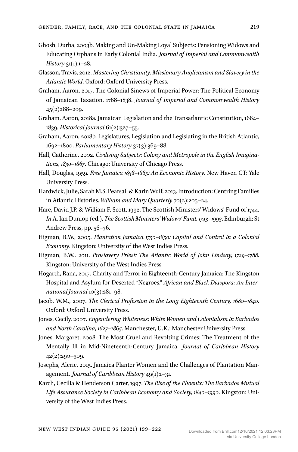- Ghosh, Durba, 2003b. Making and Un-Making Loyal Subjects: Pensioning Widows and Educating Orphans in Early Colonial India. *Journal of Imperial and Commonwealth History* 31(1):1–28.
- Glasson, Travis, 2012. *Mastering Christianity: Missionary Anglicanism and Slavery in the Atlantic World*. Oxford: Oxford University Press.
- Graham, Aaron, 2017. The Colonial Sinews of Imperial Power: The Political Economy of Jamaican Taxation, 1768–1838. *Journal of Imperial and Commonwealth History* 45(2):188–209.
- Graham, Aaron, 2018a. Jamaican Legislation and the Transatlantic Constitution, 1664– 1839. *Historical Journal* 61(2):327–55.
- Graham, Aaron, 2018b. Legislatures, Legislation and Legislating in the British Atlantic, 1692–1800. *Parliamentary History* 37(3):369–88.
- Hall, Catherine, 2002. *Civilising Subjects: Colony and Metropole in the English Imaginations, 1830–1867*. Chicago: University of Chicago Press.
- Hall, Douglas, 1959. *Free Jamaica 1838–1865: An Economic History*. New Haven CT: Yale University Press.
- Hardwick, Julie, Sarah M.S. Pearsall & KarinWulf, 2013. Introduction: Centring Families in Atlantic Histories. *William and Mary Quarterly* 70(2):205–24.
- Hare, David J.P. & William F. Scott, 1992. The Scottish Ministers' Widows' Fund of 1744. *In* A. Ian Dunlop (ed.), *The Scottish Ministers' Widows' Fund, 1743–1993*. Edinburgh: St Andrew Press, pp. 56–76.
- Higman, B.W., 2005. *Plantation Jamaica 1750–1850: Capital and Control in a Colonial Economy*. Kingston: University of the West Indies Press.
- Higman, B.W., 2011. *Proslavery Priest: The Atlantic World of John Lindsay, 1729–1788*. Kingston: University of the West Indies Press.
- Hogarth, Rana, 2017. Charity and Terror in Eighteenth-Century Jamaica: The Kingston Hospital and Asylum for Deserted "Negroes." *African and Black Diaspora: An International Journal* 10(3):281–98.
- Jacob, W.M., 2007. *The Clerical Profession in the Long Eighteenth Century, 1680–1840*. Oxford: Oxford University Press.
- Jones, Cecily, 2007. *Engendering Whiteness: White Women and Colonialism in Barbados and North Carolina, 1627–1865*. Manchester, U.K.: Manchester University Press.
- Jones, Margaret, 2008. The Most Cruel and Revolting Crimes: The Treatment of the Mentally Ill in Mid-Nineteenth-Century Jamaica. *Journal of Caribbean History* 42(2):290–309.
- Josephs, Aleric, 2015. Jamaica Planter Women and the Challenges of Plantation Management. *Journal of Caribbean History* 49(1):1–31.
- Karch, Cecilia & Henderson Carter, 1997. *The Rise of the Phoenix: The Barbados Mutual Life Assurance Society in Caribbean Economy and Society, 1840–1990*. Kingston: University of the West Indies Press.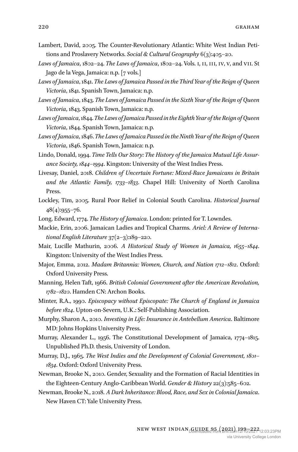- Lambert, David, 2005. The Counter-Revolutionary Atlantic: White West Indian Petitions and Proslavery Networks. *Social & Cultural Geography* 6(3):405–20.
- *Laws of Jamaica*, 1802–24. *The Laws of Jamaica*, 1802–24. Vols. i, ii, iii, iv, v, and vii. St Jago de la Vega, Jamaica: n.p. [7 vols.]
- *Laws of Jamaica*, 1841. *The Laws of Jamaica Passed in the Third Year of the Reign of Queen Victoria*, 1841. Spanish Town, Jamaica: n.p.
- *Laws of Jamaica*, 1843. *The Laws of Jamaica Passed in the Sixth Year of the Reign of Queen Victoria*, 1843. Spanish Town, Jamaica: n.p.
- *Laws of Jamaica*,1844.*The Laws of JamaicaPassed intheEighthYear of the Reign of Queen Victoria*, 1844. Spanish Town, Jamaica: n.p.
- *Laws of Jamaica*, 1846. *The Laws of Jamaica Passed inthe Ninth Year of the Reign of Queen Victoria*, 1846. Spanish Town, Jamaica: n.p.
- Lindo, Donald, 1994. *Time Tells Our Story: The History of the Jamaica Mutual Life Assurance Society, 1844–1994*. Kingston: University of the West Indies Press.
- Livesay, Daniel, 2018. *Children of Uncertain Fortune: Mixed-Race Jamaicans in Britain and the Atlantic Family, 1733–1833*. Chapel Hill: University of North Carolina Press.
- Lockley, Tim, 2005. Rural Poor Relief in Colonial South Carolina. *Historical Journal* 48(4):955–76.
- Long, Edward, 1774. *The History of Jamaica*. London: printed for T. Lowndes.
- Mackie, Erin, 2006. Jamaican Ladies and Tropical Charms. *Ariel: A Review of International English Literature* 37(2–3):189–220.
- Mair, Lucille Mathurin, 2006. *A Historical Study of Women in Jamaica, 1655–1844*. Kingston: University of the West Indies Press.
- Major, Emma, 2012. *Madam Britannia: Women, Church, and Nation 1712–1812*. Oxford: Oxford University Press.
- Manning, Helen Taft, 1966. *British Colonial Government after the American Revolution, 1782–1820*. Hamden CN: Archon Books.
- Minter, R.A., 1990. *Episcopacy without Episcopate: The Church of England in Jamaica before 1824*. Upton-on-Severn, U.K.: Self-Publishing Association.
- Murphy, Sharon A., 2010. *Investing in Life: Insurance in Antebellum America*. Baltimore MD: Johns Hopkins University Press.
- Murray, Alexander L., 1956. The Constitutional Development of Jamaica, 1774–1815. Unpublished Ph.D. thesis, University of London.
- Murray, D.J., 1965. *The West Indies and the Development of Colonial Government, 1801– 1834*. Oxford: Oxford University Press.
- Newman, Brooke N., 2010. Gender, Sexuality and the Formation of Racial Identities in the Eighteen-Century Anglo-Caribbean World. *Gender & History* 22(3):585–602.
- Newman, Brooke N., 2018. *A Dark Inheritance: Blood, Race, and Sex in Colonial Jamaica*. New Haven CT: Yale University Press.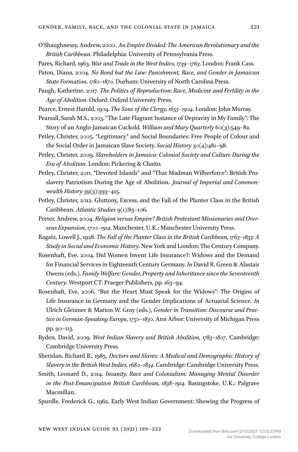- O'Shaughnessy, Andrew, 2000. *An Empire Divided: The American Revolutionary and the British Caribbean*. Philadelphia: University of Pennsylvania Press.
- Pares, Richard, 1963. *War and Trade in the West Indies, 1739–1763*. London: Frank Cass.
- Paton, Diana, 2004. *No Bond but the Law: Punishment, Race, and Gender in Jamaican State Formation, 1780–1870*. Durham: University of North Carolina Press.
- Paugh, Katherine, 2017. *The Politics of Reproduction: Race, Medicine and Fertility in the Age of Abolition*. Oxford: Oxford University Press.
- Pearce, Ernest Harold, 1904. *The Sons of the Clergy, 1655–1904*. London: John Murray.
- Pearsall, Sarah M.S., 2003. "The Late Flagrant Instance of Depravity in My Family": The Story of an Anglo-Jamaican Cuckold. *William and Mary Quarterly* 60(3):549–82.
- Petley, Christer, 2005. "Legitimacy" and Social Boundaries: Free People of Colour and the Social Order in Jamaican Slave Society. *Social History* 30(4):481–98.
- Petley, Christer, 2009. *Slaveholders in Jamaica: Colonial Society and Culture During the Era of Abolition*. London: Pickering & Chatto.
- Petley, Christer, 2011. "Devoted Islands" and "That Madman Wilberforce": British Proslavery Patriotism During the Age of Abolition. *Journal of Imperial and Commonwealth History* 39(3):393–415.
- Petley, Christer, 2012. Gluttony, Excess, and the Fall of the Planter Class in the British Caribbean. *Atlantic Studies* 9(1):85–106.
- Porter, Andrew, 2004. *Religion versus Empire? British Protestant Missionaries and Overseas Expansion, 1700–1914*. Manchester, U.K.: Manchester University Press.
- Ragatz, Lowell J., 1928. *The Fall of the Planter Class in the British Caribbean, 1763–1833: A Study in Social and Economic History*. New York and London: The Century Company.
- Rosenhaft, Eve, 2004. Did Women Invent Life Insurance?: Widows and the Demand for Financial Services in Eighteenth Century Germany. *In* David R. Green & Alastair Owens (eds.), *Family Welfare: Gender, Property and Inheritance since the Seventeenth Century*. Westport CT: Praeger Publishers, pp. 163–94.
- Rosenhaft, Eve, 2006. "But the Heart Must Speak for the Widows": The Origins of Life Insurance in Germany and the Gender Implications of Actuarial Science. *In* Ulrich Gleixner & Marion W. Gray (eds.), *Gender in Transition: Discourse and Practice in German-Speaking Europe, 1750–1830*. Ann Arbor: University of Michigan Press pp. 90–113.
- Ryden, David, 2009. *West Indian Slavery and British Abolition, 1783–1807*. Cambridge: Cambridge University Press.
- Sheridan, Richard B., 1985. *Doctors and Slaves: A Medical and Demographic History of Slavery in the British West Indies, 1680–1834*. Cambridge: Cambridge University Press.
- Smith, Leonard D., 2014. *Insanity, Race and Colonialism: Managing Mental Disorder in the Post-Emancipation British Caribbean, 1838–1914*. Basingstoke, U.K.: Palgrave Macmillan.
- Spurdle, Frederick G., 1962. Early West Indian Government: Showing the Progress of